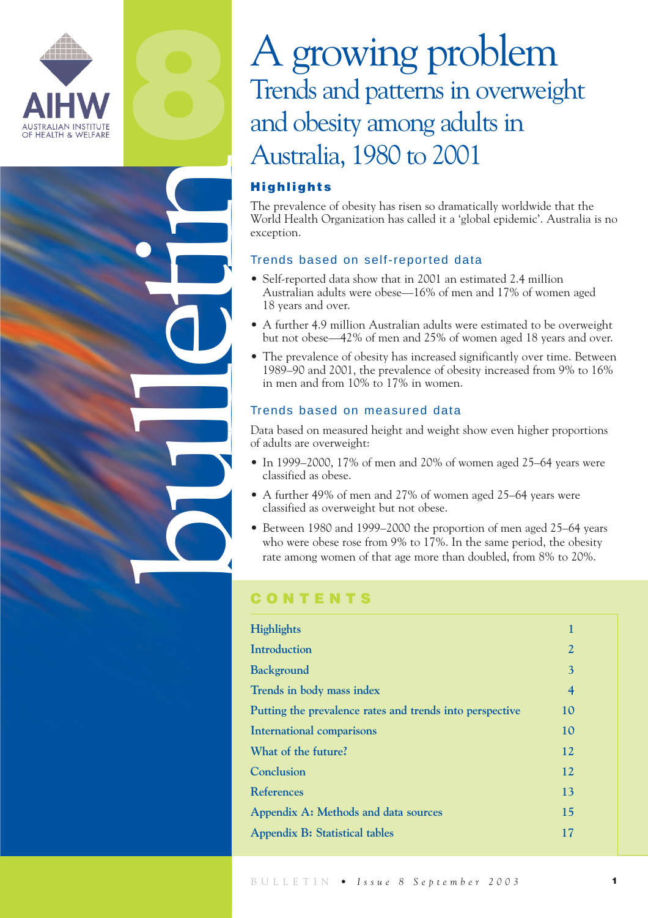

**8**

bulletin

# A growing problem Trends and patterns in overweight and obesity among adults in Australia, 1980 to 2001

# **Highlights**

The prevalence of obesity has risen so dramatically worldwide that the World Health Organization has called it a 'global epidemic'. Australia is no exception.

# Trends based on self-reported data

- Self-reported data show that in 2001 an estimated 2.4 million Australian adults were obese—16% of men and 17% of women aged 18 years and over.
- A further 4.9 million Australian adults were estimated to be overweight but not obese—42% of men and 25% of women aged 18 years and over.
- The prevalence of obesity has increased significantly over time. Between 1989–90 and 2001, the prevalence of obesity increased from 9% to 16% in men and from 10% to 17% in women.

## Trends based on measured data

Data based on measured height and weight show even higher proportions of adults are overweight:

- In 1999–2000, 17% of men and 20% of women aged 25–64 years were classified as obese.
- A further 49% of men and 27% of women aged 25–64 years were classified as overweight but not obese.
- Between 1980 and 1999–2000 the proportion of men aged 25–64 years who were obese rose from 9% to 17%. In the same period, the obesity rate among women of that age more than doubled, from 8% to 20%.

# **CONTENTS**

| <b>Highlights</b>                                        | 1                        |  |
|----------------------------------------------------------|--------------------------|--|
| Introduction                                             | $\overline{2}$           |  |
| <b>Background</b>                                        | 3                        |  |
| Trends in body mass index                                | $\overline{\mathcal{A}}$ |  |
| Putting the prevalence rates and trends into perspective | 10                       |  |
| <b>International comparisons</b>                         | 10                       |  |
| What of the future?                                      | 12                       |  |
| Conclusion                                               | 12                       |  |
| <b>References</b>                                        | 13                       |  |
| Appendix A: Methods and data sources                     | 15                       |  |
| <b>Appendix B: Statistical tables</b>                    | 17                       |  |
|                                                          |                          |  |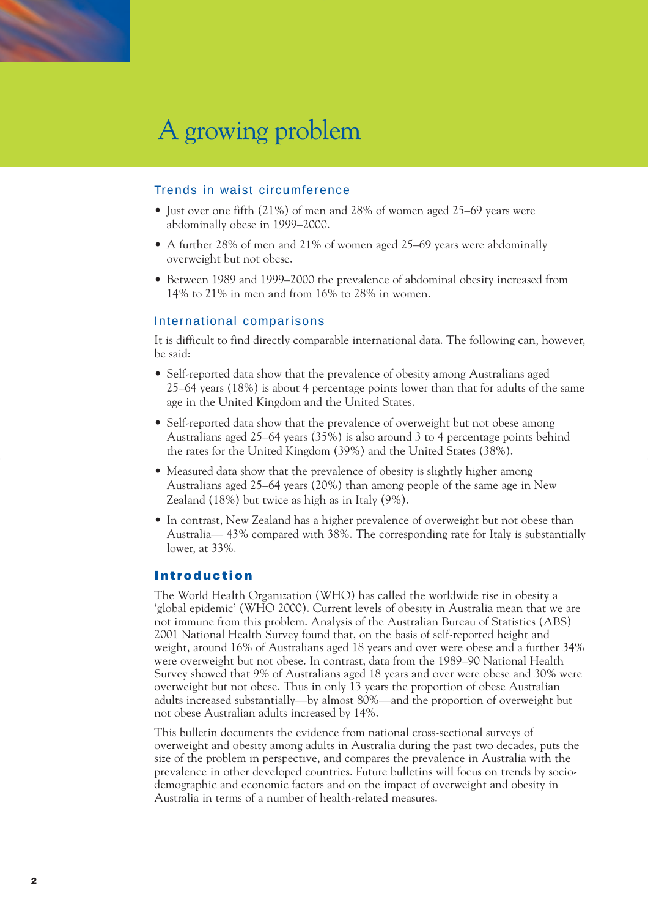

## Trends in waist circumference

- Just over one fifth (21%) of men and 28% of women aged 25–69 years were abdominally obese in 1999–2000.
- A further 28% of men and 21% of women aged 25–69 years were abdominally overweight but not obese.
- Between 1989 and 1999–2000 the prevalence of abdominal obesity increased from 14% to 21% in men and from 16% to 28% in women.

### International comparisons

It is difficult to find directly comparable international data. The following can, however, be said:

- Self-reported data show that the prevalence of obesity among Australians aged 25–64 years (18%) is about 4 percentage points lower than that for adults of the same age in the United Kingdom and the United States.
- Self-reported data show that the prevalence of overweight but not obese among Australians aged 25–64 years (35%) is also around 3 to 4 percentage points behind the rates for the United Kingdom (39%) and the United States (38%).
- Measured data show that the prevalence of obesity is slightly higher among Australians aged 25–64 years (20%) than among people of the same age in New Zealand (18%) but twice as high as in Italy (9%).
- In contrast, New Zealand has a higher prevalence of overweight but not obese than Australia— 43% compared with 38%. The corresponding rate for Italy is substantially lower, at 33%.

## **Introduction**

The World Health Organization (WHO) has called the worldwide rise in obesity a 'global epidemic' (WHO 2000). Current levels of obesity in Australia mean that we are not immune from this problem. Analysis of the Australian Bureau of Statistics (ABS) 2001 National Health Survey found that, on the basis of self-reported height and weight, around 16% of Australians aged 18 years and over were obese and a further 34% were overweight but not obese. In contrast, data from the 1989–90 National Health Survey showed that 9% of Australians aged 18 years and over were obese and 30% were overweight but not obese. Thus in only 13 years the proportion of obese Australian adults increased substantially—by almost 80%—and the proportion of overweight but not obese Australian adults increased by 14%.

This bulletin documents the evidence from national cross-sectional surveys of overweight and obesity among adults in Australia during the past two decades, puts the size of the problem in perspective, and compares the prevalence in Australia with the prevalence in other developed countries. Future bulletins will focus on trends by sociodemographic and economic factors and on the impact of overweight and obesity in Australia in terms of a number of health-related measures.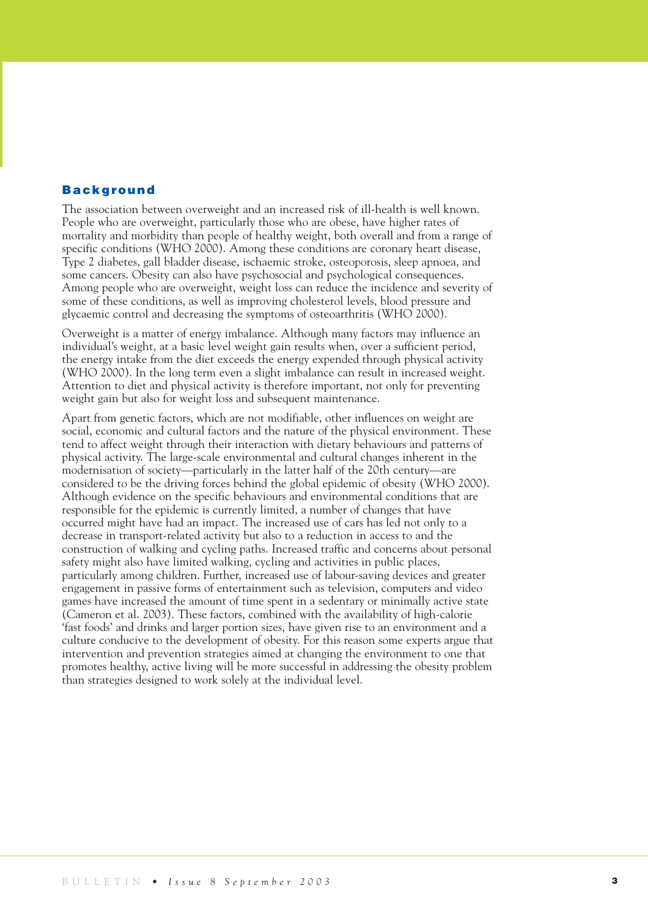## **Background**

The association between overweight and an increased risk of ill-health is well known. People who are overweight, particularly those who are obese, have higher rates of mortality and morbidity than people of healthy weight, both overall and from a range of specific conditions (WHO 2000). Among these conditions are coronary heart disease, Type 2 diabetes, gall bladder disease, ischaemic stroke, osteoporosis, sleep apnoea, and some cancers. Obesity can also have psychosocial and psychological consequences. Among people who are overweight, weight loss can reduce the incidence and severity of some of these conditions, as well as improving cholesterol levels, blood pressure and glycaemic control and decreasing the symptoms of osteoarthritis (WHO 2000).

Overweight is a matter of energy imbalance. Although many factors may influence an individual's weight, at a basic level weight gain results when, over a sufficient period, the energy intake from the diet exceeds the energy expended through physical activity (WHO 2000). In the long term even a slight imbalance can result in increased weight. Attention to diet and physical activity is therefore important, not only for preventing weight gain but also for weight loss and subsequent maintenance.

Apart from genetic factors, which are not modifiable, other influences on weight are social, economic and cultural factors and the nature of the physical environment. These tend to affect weight through their interaction with dietary behaviours and patterns of physical activity. The large-scale environmental and cultural changes inherent in the modernisation of society—particularly in the latter half of the 20th century—are considered to be the driving forces behind the global epidemic of obesity (WHO 2000). Although evidence on the specific behaviours and environmental conditions that are responsible for the epidemic is currently limited, a number of changes that have occurred might have had an impact. The increased use of cars has led not only to a decrease in transport-related activity but also to a reduction in access to and the construction of walking and cycling paths. Increased traffic and concerns about personal safety might also have limited walking, cycling and activities in public places, particularly among children. Further, increased use of labour-saving devices and greater engagement in passive forms of entertainment such as television, computers and video games have increased the amount of time spent in a sedentary or minimally active state (Cameron et al. 2003). These factors, combined with the availability of high-calorie 'fast foods' and drinks and larger portion sizes, have given rise to an environment and a culture conducive to the development of obesity. For this reason some experts argue that intervention and prevention strategies aimed at changing the environment to one that promotes healthy, active living will be more successful in addressing the obesity problem than strategies designed to work solely at the individual level.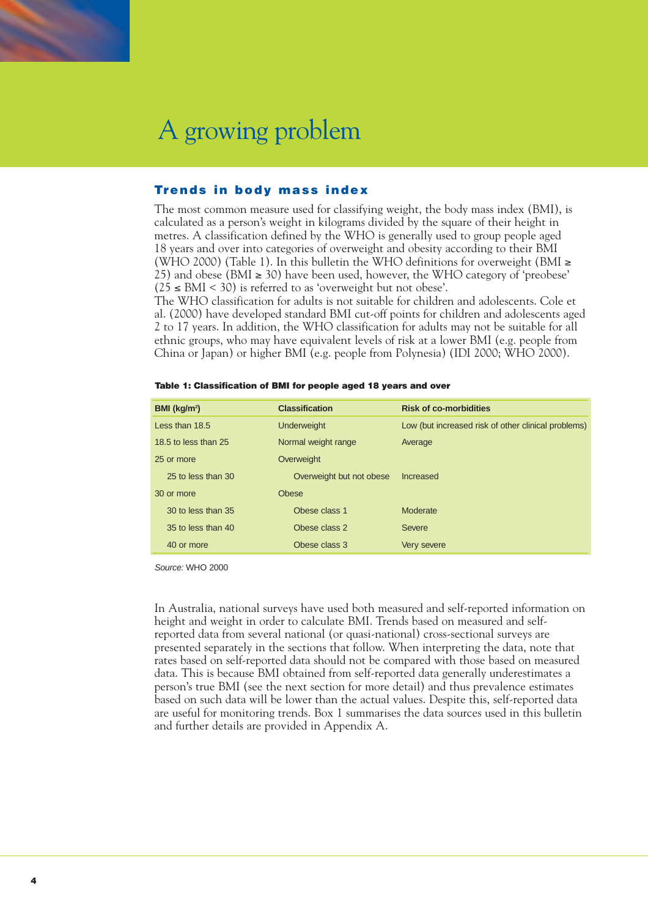

# **Trends in body mass index**

The most common measure used for classifying weight, the body mass index (BMI), is calculated as a person's weight in kilograms divided by the square of their height in metres. A classification defined by the WHO is generally used to group people aged 18 years and over into categories of overweight and obesity according to their BMI (WHO 2000) (Table 1). In this bulletin the WHO definitions for overweight (BMI  $\ge$ 25) and obese (BMI  $\geq$  30) have been used, however, the WHO category of 'preobese'  $(25 \leq BMI \leq 30)$  is referred to as 'overweight but not obese'.

The WHO classification for adults is not suitable for children and adolescents. Cole et al. (2000) have developed standard BMI cut-off points for children and adolescents aged 2 to 17 years. In addition, the WHO classification for adults may not be suitable for all ethnic groups, who may have equivalent levels of risk at a lower BMI (e.g. people from China or Japan) or higher BMI (e.g. people from Polynesia) (IDI 2000; WHO 2000).

| BMI (kg/m <sup>2</sup> )                    | <b>Classification</b>    | <b>Risk of co-morbidities</b>                       |  |
|---------------------------------------------|--------------------------|-----------------------------------------------------|--|
| Less than 18.5                              | <b>Underweight</b>       | Low (but increased risk of other clinical problems) |  |
| 18.5 to less than 25<br>Normal weight range |                          | Average                                             |  |
| 25 or more                                  | Overweight               |                                                     |  |
| 25 to less than 30                          | Overweight but not obese | Increased                                           |  |
| 30 or more                                  | <b>Obese</b>             |                                                     |  |
| 30 to less than 35                          | Obese class 1            | Moderate                                            |  |
| 35 to less than 40                          | Obese class 2            | Severe                                              |  |
| 40 or more                                  | Obese class 3            | Very severe                                         |  |

|  | Table 1: Classification of BMI for people aged 18 years and over |  |  |  |  |  |
|--|------------------------------------------------------------------|--|--|--|--|--|
|  |                                                                  |  |  |  |  |  |

*Source:* WHO 2000

In Australia, national surveys have used both measured and self-reported information on height and weight in order to calculate BMI. Trends based on measured and selfreported data from several national (or quasi-national) cross-sectional surveys are presented separately in the sections that follow. When interpreting the data, note that rates based on self-reported data should not be compared with those based on measured data. This is because BMI obtained from self-reported data generally underestimates a person's true BMI (see the next section for more detail) and thus prevalence estimates based on such data will be lower than the actual values. Despite this, self-reported data are useful for monitoring trends. Box 1 summarises the data sources used in this bulletin and further details are provided in Appendix A.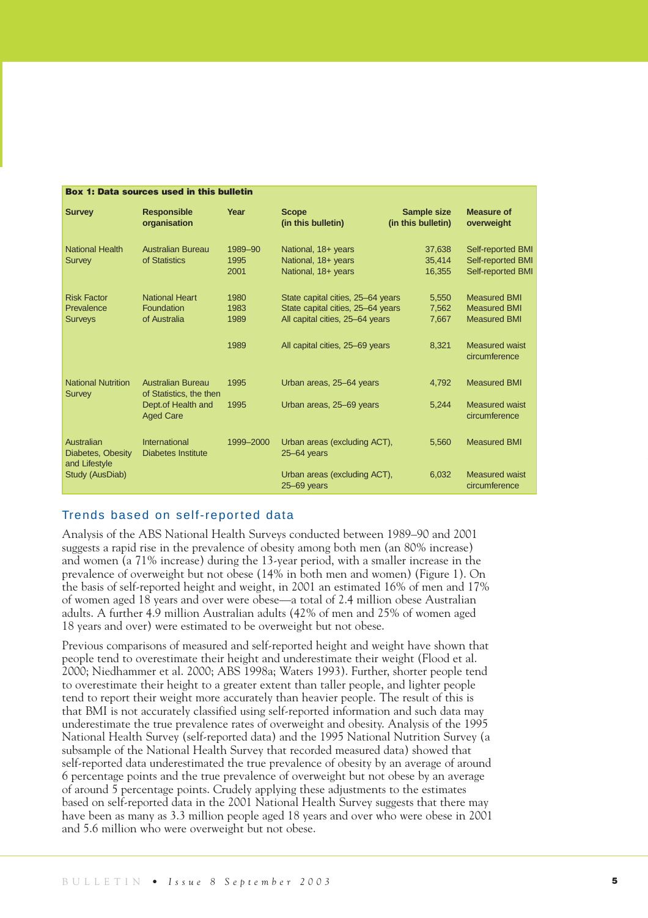| <b>Box 1: Data sources used in this bulletin</b>   |                                                     |                         |                                                                                                           |                                          |                                                                   |  |
|----------------------------------------------------|-----------------------------------------------------|-------------------------|-----------------------------------------------------------------------------------------------------------|------------------------------------------|-------------------------------------------------------------------|--|
| <b>Survey</b>                                      | <b>Responsible</b><br>organisation                  | Year                    | <b>Scope</b><br>(in this bulletin)                                                                        | <b>Sample size</b><br>(in this bulletin) | <b>Measure of</b><br>overweight                                   |  |
| <b>National Health</b><br>Survey                   | Australian Bureau<br>of Statistics                  | 1989-90<br>1995<br>2001 | National, 18+ years<br>National, 18+ years<br>National, 18+ years                                         | 37,638<br>35,414<br>16,355               | Self-reported BMI<br>Self-reported BMI<br>Self-reported BMI       |  |
| <b>Risk Factor</b><br>Prevalence<br><b>Surveys</b> | <b>National Heart</b><br>Foundation<br>of Australia | 1980<br>1983<br>1989    | State capital cities, 25-64 years<br>State capital cities, 25-64 years<br>All capital cities, 25-64 years | 5.550<br>7.562<br>7,667                  | <b>Measured BMI</b><br><b>Measured BMI</b><br><b>Measured BMI</b> |  |
|                                                    |                                                     | 1989                    | All capital cities, 25-69 years                                                                           | 8,321                                    | <b>Measured waist</b><br>circumference                            |  |
| <b>National Nutrition</b><br><b>Survey</b>         | Australian Bureau<br>of Statistics, the then        | 1995                    | Urban areas, 25-64 years                                                                                  | 4,792                                    | <b>Measured BMI</b>                                               |  |
|                                                    | Dept.of Health and<br><b>Aged Care</b>              | 1995                    | Urban areas, 25-69 years                                                                                  | 5,244                                    | <b>Measured waist</b><br>circumference                            |  |
| Australian<br>Diabetes, Obesity<br>and Lifestyle   | International<br><b>Diabetes Institute</b>          | 1999-2000               | Urban areas (excluding ACT),<br>$25 - 64$ years                                                           | 5,560                                    | <b>Measured BMI</b>                                               |  |
| Study (AusDiab)                                    |                                                     |                         | Urban areas (excluding ACT),<br>$25 - 69$ years                                                           | 6,032                                    | <b>Measured waist</b><br>circumference                            |  |

## Trends based on self-reported data

Analysis of the ABS National Health Surveys conducted between 1989–90 and 2001 suggests a rapid rise in the prevalence of obesity among both men (an 80% increase) and women (a 71% increase) during the 13-year period, with a smaller increase in the prevalence of overweight but not obese (14% in both men and women) (Figure 1). On the basis of self-reported height and weight, in 2001 an estimated 16% of men and 17% of women aged 18 years and over were obese—a total of 2.4 million obese Australian adults. A further 4.9 million Australian adults (42% of men and 25% of women aged 18 years and over) were estimated to be overweight but not obese.

Previous comparisons of measured and self-reported height and weight have shown that people tend to overestimate their height and underestimate their weight (Flood et al. 2000; Niedhammer et al. 2000; ABS 1998a; Waters 1993). Further, shorter people tend to overestimate their height to a greater extent than taller people, and lighter people tend to report their weight more accurately than heavier people. The result of this is that BMI is not accurately classified using self-reported information and such data may underestimate the true prevalence rates of overweight and obesity. Analysis of the 1995 National Health Survey (self-reported data) and the 1995 National Nutrition Survey (a subsample of the National Health Survey that recorded measured data) showed that self-reported data underestimated the true prevalence of obesity by an average of around 6 percentage points and the true prevalence of overweight but not obese by an average of around 5 percentage points. Crudely applying these adjustments to the estimates based on self-reported data in the 2001 National Health Survey suggests that there may have been as many as 3.3 million people aged 18 years and over who were obese in 2001 and 5.6 million who were overweight but not obese.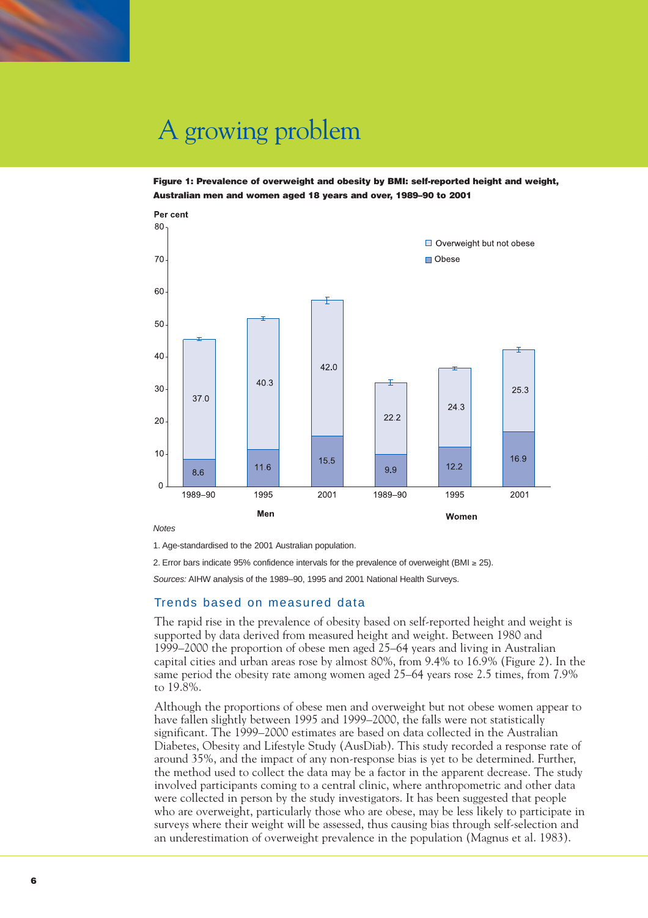

**Figure 1: Prevalence of overweight and obesity by BMI: self-reported height and weight, Australian men and women aged 18 years and over, 1989–90 to 2001**



*Notes* 

1. Age-standardised to the 2001 Australian population.

2. Error bars indicate 95% confidence intervals for the prevalence of overweight (BMI ≥ 25).

*Sources:* AIHW analysis of the 1989–90, 1995 and 2001 National Health Surveys.

### Trends based on measured data

The rapid rise in the prevalence of obesity based on self-reported height and weight is supported by data derived from measured height and weight. Between 1980 and 1999–2000 the proportion of obese men aged 25–64 years and living in Australian capital cities and urban areas rose by almost 80%, from 9.4% to 16.9% (Figure 2). In the same period the obesity rate among women aged 25–64 years rose 2.5 times, from 7.9% to 19.8%.

Although the proportions of obese men and overweight but not obese women appear to have fallen slightly between 1995 and 1999–2000, the falls were not statistically significant. The 1999–2000 estimates are based on data collected in the Australian Diabetes, Obesity and Lifestyle Study (AusDiab). This study recorded a response rate of around 35%, and the impact of any non-response bias is yet to be determined. Further, the method used to collect the data may be a factor in the apparent decrease. The study involved participants coming to a central clinic, where anthropometric and other data were collected in person by the study investigators. It has been suggested that people who are overweight, particularly those who are obese, may be less likely to participate in surveys where their weight will be assessed, thus causing bias through self-selection and an underestimation of overweight prevalence in the population (Magnus et al. 1983).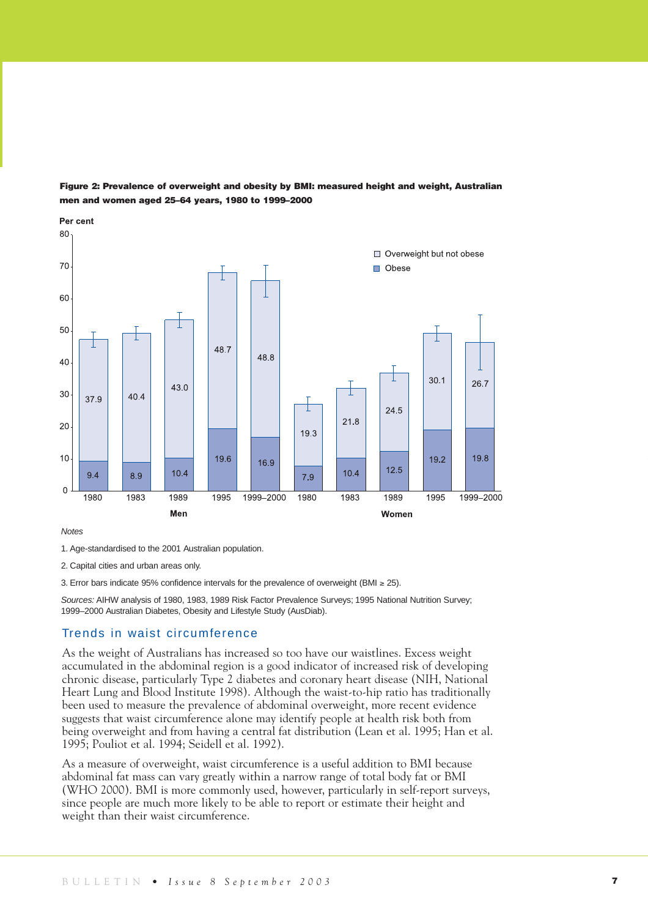

**Figure 2: Prevalence of overweight and obesity by BMI: measured height and weight, Australian men and women aged 25–64 years, 1980 to 1999–2000**

#### *Notes*

2. Capital cities and urban areas only.

3. Error bars indicate 95% confidence intervals for the prevalence of overweight (BMI ≥ 25).

*Sources:* AIHW analysis of 1980, 1983, 1989 Risk Factor Prevalence Surveys; 1995 National Nutrition Survey; 1999–2000 Australian Diabetes, Obesity and Lifestyle Study (AusDiab).

## Trends in waist circumference

As the weight of Australians has increased so too have our waistlines. Excess weight accumulated in the abdominal region is a good indicator of increased risk of developing chronic disease, particularly Type 2 diabetes and coronary heart disease (NIH, National Heart Lung and Blood Institute 1998). Although the waist-to-hip ratio has traditionally been used to measure the prevalence of abdominal overweight, more recent evidence suggests that waist circumference alone may identify people at health risk both from being overweight and from having a central fat distribution (Lean et al. 1995; Han et al. 1995; Pouliot et al. 1994; Seidell et al. 1992).

As a measure of overweight, waist circumference is a useful addition to BMI because abdominal fat mass can vary greatly within a narrow range of total body fat or BMI (WHO 2000). BMI is more commonly used, however, particularly in self-report surveys, since people are much more likely to be able to report or estimate their height and weight than their waist circumference.

<sup>1.</sup> Age-standardised to the 2001 Australian population.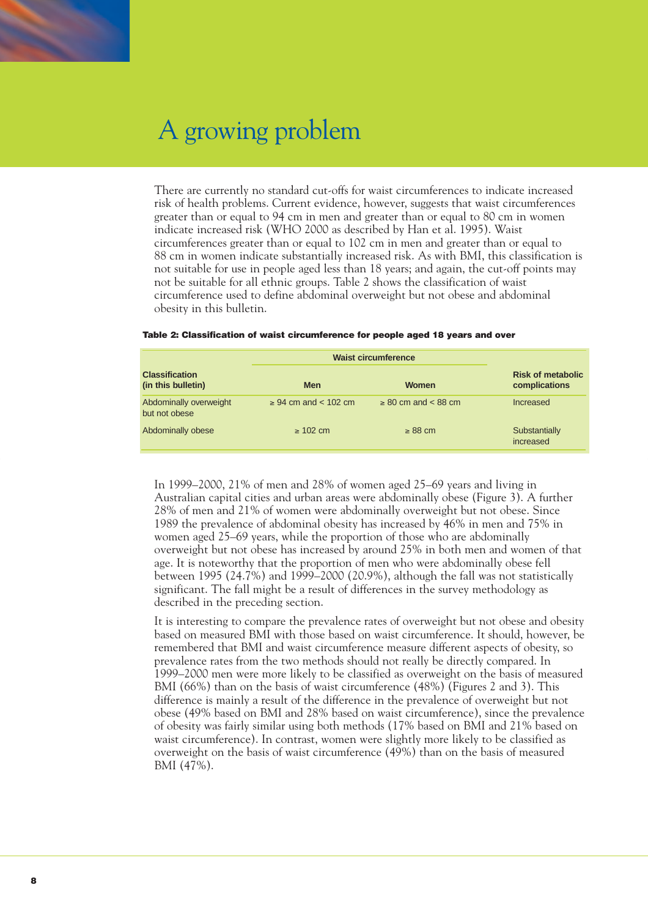

There are currently no standard cut-offs for waist circumferences to indicate increased risk of health problems. Current evidence, however, suggests that waist circumferences greater than or equal to 94 cm in men and greater than or equal to 80 cm in women indicate increased risk (WHO 2000 as described by Han et al. 1995). Waist circumferences greater than or equal to 102 cm in men and greater than or equal to 88 cm in women indicate substantially increased risk. As with BMI, this classification is not suitable for use in people aged less than 18 years; and again, the cut-off points may not be suitable for all ethnic groups. Table 2 shows the classification of waist circumference used to define abdominal overweight but not obese and abdominal obesity in this bulletin.

|                                             | <b>Waist circumference</b>    |                              |                                           |
|---------------------------------------------|-------------------------------|------------------------------|-------------------------------------------|
| <b>Classification</b><br>(in this bulletin) | <b>Men</b>                    | <b>Women</b>                 | <b>Risk of metabolic</b><br>complications |
| Abdominally overweight<br>but not obese     | $\geq 94$ cm and $\lt 102$ cm | $\geq 80$ cm and $\lt 88$ cm | Increased                                 |
| Abdominally obese                           | $\geq 102$ cm                 | $\geq 88$ cm                 | Substantially<br>increased                |

#### **Table 2: Classification of waist circumference for people aged 18 years and over**

In 1999–2000, 21% of men and 28% of women aged 25–69 years and living in Australian capital cities and urban areas were abdominally obese (Figure 3). A further 28% of men and 21% of women were abdominally overweight but not obese. Since 1989 the prevalence of abdominal obesity has increased by 46% in men and 75% in women aged 25–69 years, while the proportion of those who are abdominally overweight but not obese has increased by around 25% in both men and women of that age. It is noteworthy that the proportion of men who were abdominally obese fell between 1995 (24.7%) and 1999–2000 (20.9%), although the fall was not statistically significant. The fall might be a result of differences in the survey methodology as described in the preceding section.

It is interesting to compare the prevalence rates of overweight but not obese and obesity based on measured BMI with those based on waist circumference. It should, however, be remembered that BMI and waist circumference measure different aspects of obesity, so prevalence rates from the two methods should not really be directly compared. In 1999–2000 men were more likely to be classified as overweight on the basis of measured BMI (66%) than on the basis of waist circumference (48%) (Figures 2 and 3). This difference is mainly a result of the difference in the prevalence of overweight but not obese (49% based on BMI and 28% based on waist circumference), since the prevalence of obesity was fairly similar using both methods (17% based on BMI and 21% based on waist circumference). In contrast, women were slightly more likely to be classified as overweight on the basis of waist circumference (49%) than on the basis of measured BMI (47%).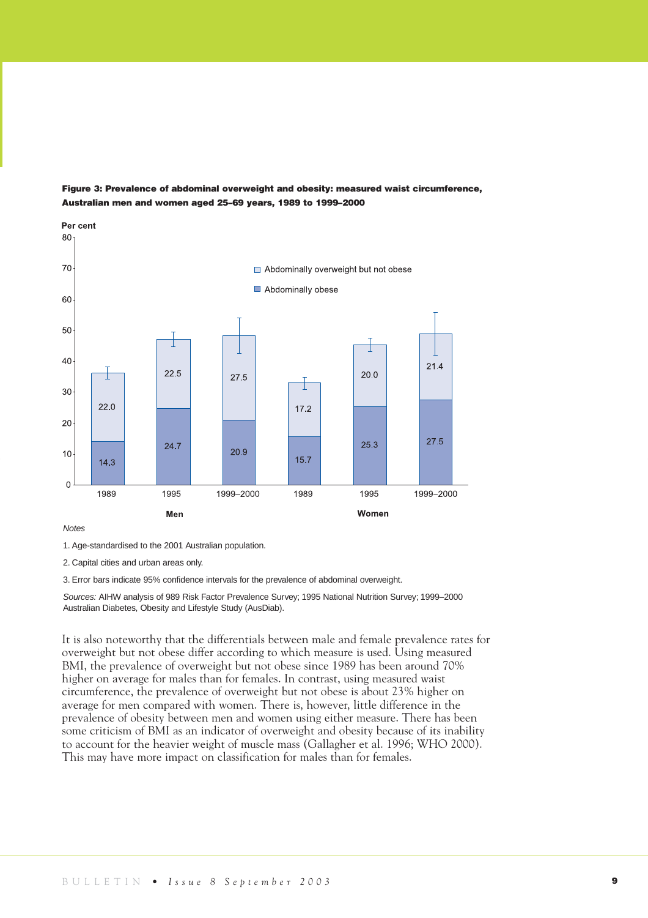

### **Figure 3: Prevalence of abdominal overweight and obesity: measured waist circumference, Australian men and women aged 25–69 years, 1989 to 1999–2000**

#### *Notes*

2. Capital cities and urban areas only.

3. Error bars indicate 95% confidence intervals for the prevalence of abdominal overweight.

*Sources:* AIHW analysis of 989 Risk Factor Prevalence Survey; 1995 National Nutrition Survey; 1999–2000 Australian Diabetes, Obesity and Lifestyle Study (AusDiab).

It is also noteworthy that the differentials between male and female prevalence rates for overweight but not obese differ according to which measure is used. Using measured BMI, the prevalence of overweight but not obese since 1989 has been around 70% higher on average for males than for females. In contrast, using measured waist circumference, the prevalence of overweight but not obese is about 23% higher on average for men compared with women. There is, however, little difference in the prevalence of obesity between men and women using either measure. There has been some criticism of BMI as an indicator of overweight and obesity because of its inability to account for the heavier weight of muscle mass (Gallagher et al. 1996; WHO 2000). This may have more impact on classification for males than for females.

<sup>1.</sup> Age-standardised to the 2001 Australian population.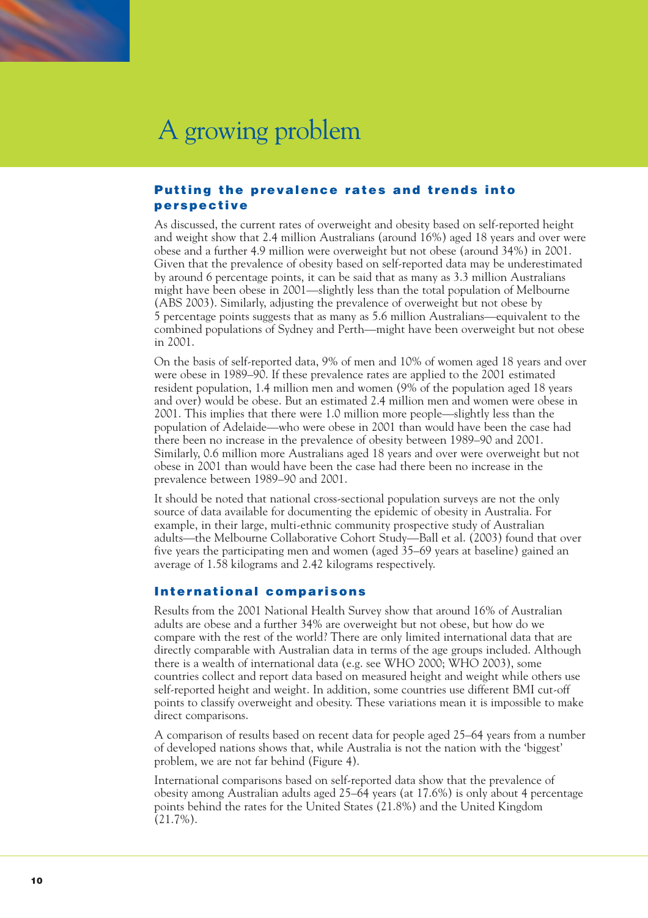

# **Putting the prevalence rates and trends into perspective**

As discussed, the current rates of overweight and obesity based on self-reported height and weight show that 2.4 million Australians (around 16%) aged 18 years and over were obese and a further 4.9 million were overweight but not obese (around 34%) in 2001. Given that the prevalence of obesity based on self-reported data may be underestimated by around 6 percentage points, it can be said that as many as 3.3 million Australians might have been obese in 2001—slightly less than the total population of Melbourne (ABS 2003). Similarly, adjusting the prevalence of overweight but not obese by 5 percentage points suggests that as many as 5.6 million Australians—equivalent to the combined populations of Sydney and Perth—might have been overweight but not obese in 2001.

On the basis of self-reported data, 9% of men and 10% of women aged 18 years and over were obese in 1989–90. If these prevalence rates are applied to the 2001 estimated resident population, 1.4 million men and women (9% of the population aged 18 years and over) would be obese. But an estimated 2.4 million men and women were obese in 2001. This implies that there were 1.0 million more people—slightly less than the population of Adelaide—who were obese in 2001 than would have been the case had there been no increase in the prevalence of obesity between 1989–90 and 2001. Similarly, 0.6 million more Australians aged 18 years and over were overweight but not obese in 2001 than would have been the case had there been no increase in the prevalence between 1989–90 and 2001.

It should be noted that national cross-sectional population surveys are not the only source of data available for documenting the epidemic of obesity in Australia. For example, in their large, multi-ethnic community prospective study of Australian adults—the Melbourne Collaborative Cohort Study—Ball et al. (2003) found that over five years the participating men and women (aged 35–69 years at baseline) gained an average of 1.58 kilograms and 2.42 kilograms respectively.

# **International comparisons**

Results from the 2001 National Health Survey show that around 16% of Australian adults are obese and a further 34% are overweight but not obese, but how do we compare with the rest of the world? There are only limited international data that are directly comparable with Australian data in terms of the age groups included. Although there is a wealth of international data (e.g. see WHO 2000; WHO 2003), some countries collect and report data based on measured height and weight while others use self-reported height and weight. In addition, some countries use different BMI cut-off points to classify overweight and obesity. These variations mean it is impossible to make direct comparisons.

A comparison of results based on recent data for people aged 25–64 years from a number of developed nations shows that, while Australia is not the nation with the 'biggest' problem, we are not far behind (Figure 4).

International comparisons based on self-reported data show that the prevalence of obesity among Australian adults aged 25–64 years (at 17.6%) is only about 4 percentage points behind the rates for the United States (21.8%) and the United Kingdom (21.7%).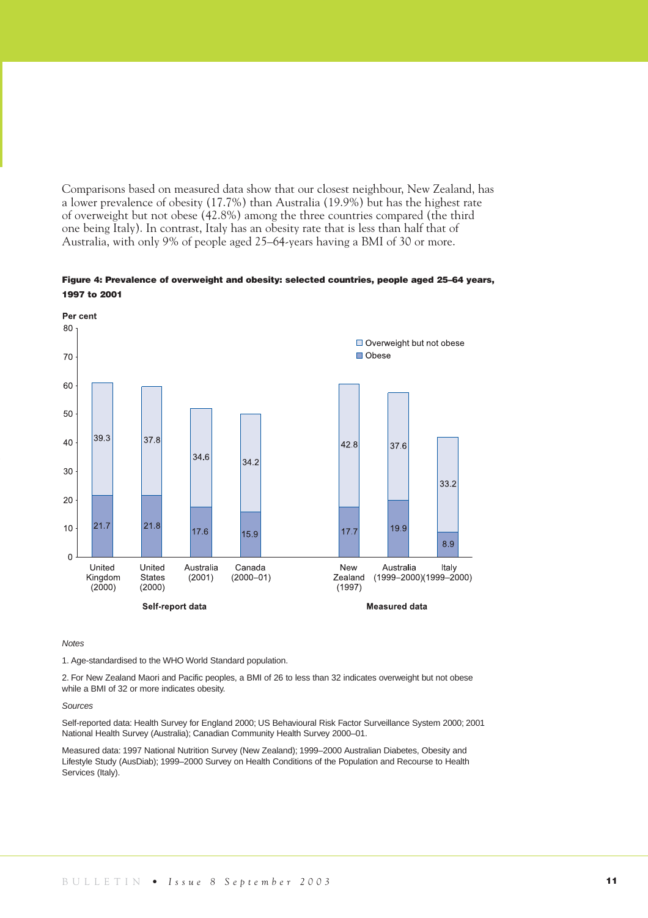Comparisons based on measured data show that our closest neighbour, New Zealand, has a lower prevalence of obesity (17.7%) than Australia (19.9%) but has the highest rate of overweight but not obese (42.8%) among the three countries compared (the third one being Italy). In contrast, Italy has an obesity rate that is less than half that of Australia, with only 9% of people aged 25–64-years having a BMI of 30 or more.

### **Figure 4: Prevalence of overweight and obesity: selected countries, people aged 25–64 years, 1997 to 2001**



*Notes* 

1. Age-standardised to the WHO World Standard population.

2. For New Zealand Maori and Pacific peoples, a BMI of 26 to less than 32 indicates overweight but not obese while a BMI of 32 or more indicates obesity.

#### *Sources*

Self-reported data: Health Survey for England 2000; US Behavioural Risk Factor Surveillance System 2000; 2001 National Health Survey (Australia); Canadian Community Health Survey 2000–01.

Measured data: 1997 National Nutrition Survey (New Zealand); 1999–2000 Australian Diabetes, Obesity and Lifestyle Study (AusDiab); 1999–2000 Survey on Health Conditions of the Population and Recourse to Health Services (Italy).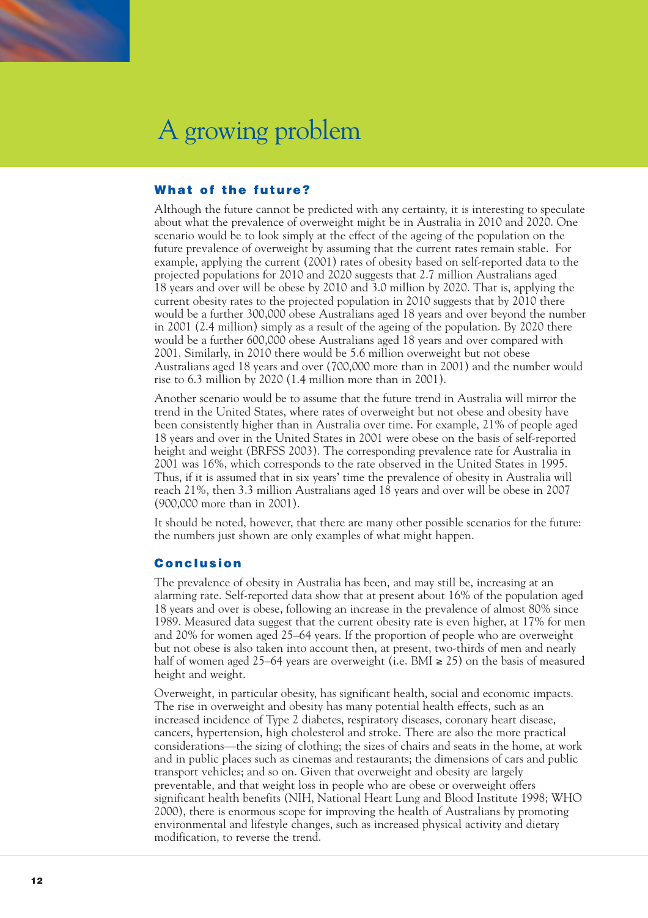

# **What of the future?**

Although the future cannot be predicted with any certainty, it is interesting to speculate about what the prevalence of overweight might be in Australia in 2010 and 2020. One scenario would be to look simply at the effect of the ageing of the population on the future prevalence of overweight by assuming that the current rates remain stable. For example, applying the current (2001) rates of obesity based on self-reported data to the projected populations for 2010 and 2020 suggests that 2.7 million Australians aged 18 years and over will be obese by 2010 and 3.0 million by 2020. That is, applying the current obesity rates to the projected population in 2010 suggests that by 2010 there would be a further 300,000 obese Australians aged 18 years and over beyond the number in 2001 (2.4 million) simply as a result of the ageing of the population. By 2020 there would be a further 600,000 obese Australians aged 18 years and over compared with 2001. Similarly, in 2010 there would be 5.6 million overweight but not obese Australians aged 18 years and over (700,000 more than in 2001) and the number would rise to 6.3 million by 2020 (1.4 million more than in 2001).

Another scenario would be to assume that the future trend in Australia will mirror the trend in the United States, where rates of overweight but not obese and obesity have been consistently higher than in Australia over time. For example, 21% of people aged 18 years and over in the United States in 2001 were obese on the basis of self-reported height and weight (BRFSS 2003). The corresponding prevalence rate for Australia in 2001 was 16%, which corresponds to the rate observed in the United States in 1995. Thus, if it is assumed that in six years' time the prevalence of obesity in Australia will reach 21%, then 3.3 million Australians aged 18 years and over will be obese in 2007 (900,000 more than in 2001).

It should be noted, however, that there are many other possible scenarios for the future: the numbers just shown are only examples of what might happen.

## **Conclusion**

The prevalence of obesity in Australia has been, and may still be, increasing at an alarming rate. Self-reported data show that at present about 16% of the population aged 18 years and over is obese, following an increase in the prevalence of almost 80% since 1989. Measured data suggest that the current obesity rate is even higher, at 17% for men and 20% for women aged 25–64 years. If the proportion of people who are overweight but not obese is also taken into account then, at present, two-thirds of men and nearly half of women aged 25–64 years are overweight (i.e. BMI  $\geq$  25) on the basis of measured height and weight.

Overweight, in particular obesity, has significant health, social and economic impacts. The rise in overweight and obesity has many potential health effects, such as an increased incidence of Type 2 diabetes, respiratory diseases, coronary heart disease, cancers, hypertension, high cholesterol and stroke. There are also the more practical considerations—the sizing of clothing; the sizes of chairs and seats in the home, at work and in public places such as cinemas and restaurants; the dimensions of cars and public transport vehicles; and so on. Given that overweight and obesity are largely preventable, and that weight loss in people who are obese or overweight offers significant health benefits (NIH, National Heart Lung and Blood Institute 1998; WHO 2000), there is enormous scope for improving the health of Australians by promoting environmental and lifestyle changes, such as increased physical activity and dietary modification, to reverse the trend.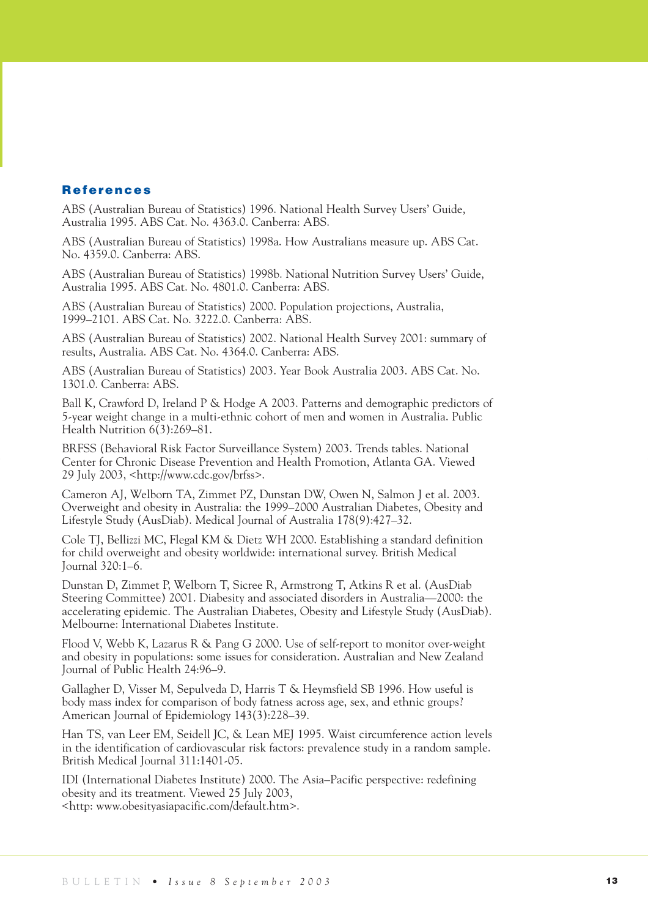## **References**

ABS (Australian Bureau of Statistics) 1996. National Health Survey Users' Guide, Australia 1995. ABS Cat. No. 4363.0. Canberra: ABS.

ABS (Australian Bureau of Statistics) 1998a. How Australians measure up. ABS Cat. No. 4359.0. Canberra: ABS.

ABS (Australian Bureau of Statistics) 1998b. National Nutrition Survey Users' Guide, Australia 1995. ABS Cat. No. 4801.0. Canberra: ABS.

ABS (Australian Bureau of Statistics) 2000. Population projections, Australia, 1999–2101. ABS Cat. No. 3222.0. Canberra: ABS.

ABS (Australian Bureau of Statistics) 2002. National Health Survey 2001: summary of results, Australia. ABS Cat. No. 4364.0. Canberra: ABS.

ABS (Australian Bureau of Statistics) 2003. Year Book Australia 2003. ABS Cat. No. 1301.0. Canberra: ABS.

Ball K, Crawford D, Ireland P & Hodge A 2003. Patterns and demographic predictors of 5-year weight change in a multi-ethnic cohort of men and women in Australia. Public Health Nutrition 6(3):269–81.

BRFSS (Behavioral Risk Factor Surveillance System) 2003. Trends tables. National Center for Chronic Disease Prevention and Health Promotion, Atlanta GA. Viewed 29 July 2003, <http://www.cdc.gov/brfss>.

Cameron AJ, Welborn TA, Zimmet PZ, Dunstan DW, Owen N, Salmon J et al. 2003. Overweight and obesity in Australia: the 1999–2000 Australian Diabetes, Obesity and Lifestyle Study (AusDiab). Medical Journal of Australia 178(9):427–32.

Cole TJ, Bellizzi MC, Flegal KM & Dietz WH 2000. Establishing a standard definition for child overweight and obesity worldwide: international survey. British Medical Journal 320:1–6.

Dunstan D, Zimmet P, Welborn T, Sicree R, Armstrong T, Atkins R et al. (AusDiab Steering Committee) 2001. Diabesity and associated disorders in Australia—2000: the accelerating epidemic. The Australian Diabetes, Obesity and Lifestyle Study (AusDiab). Melbourne: International Diabetes Institute.

Flood V, Webb K, Lazarus R & Pang G 2000. Use of self-report to monitor over-weight and obesity in populations: some issues for consideration. Australian and New Zealand Journal of Public Health 24:96–9.

Gallagher D, Visser M, Sepulveda D, Harris T & Heymsfield SB 1996. How useful is body mass index for comparison of body fatness across age, sex, and ethnic groups? American Journal of Epidemiology 143(3):228–39.

Han TS, van Leer EM, Seidell JC, & Lean MEJ 1995. Waist circumference action levels in the identification of cardiovascular risk factors: prevalence study in a random sample. British Medical Journal 311:1401-05.

IDI (International Diabetes Institute) 2000. The Asia–Pacific perspective: redefining obesity and its treatment. Viewed 25 July 2003, <http: www.obesityasiapacific.com/default.htm>.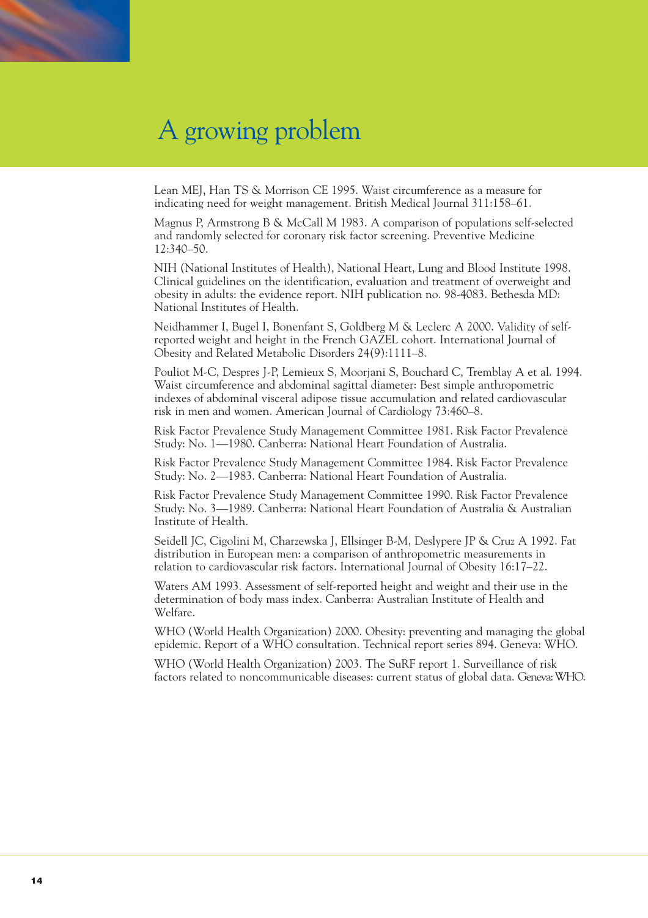Lean MEJ, Han TS & Morrison CE 1995. Waist circumference as a measure for indicating need for weight management. British Medical Journal 311:158–61.

Magnus P, Armstrong B & McCall M 1983. A comparison of populations self-selected and randomly selected for coronary risk factor screening. Preventive Medicine 12:340–50.

NIH (National Institutes of Health), National Heart, Lung and Blood Institute 1998. Clinical guidelines on the identification, evaluation and treatment of overweight and obesity in adults: the evidence report. NIH publication no. 98-4083. Bethesda MD: National Institutes of Health.

Neidhammer I, Bugel I, Bonenfant S, Goldberg M & Leclerc A 2000. Validity of selfreported weight and height in the French GAZEL cohort. International Journal of Obesity and Related Metabolic Disorders 24(9):1111–8.

Pouliot M-C, Despres J-P, Lemieux S, Moorjani S, Bouchard C, Tremblay A et al. 1994. Waist circumference and abdominal sagittal diameter: Best simple anthropometric indexes of abdominal visceral adipose tissue accumulation and related cardiovascular risk in men and women. American Journal of Cardiology 73:460–8.

Risk Factor Prevalence Study Management Committee 1981. Risk Factor Prevalence Study: No. 1—1980. Canberra: National Heart Foundation of Australia.

Risk Factor Prevalence Study Management Committee 1984. Risk Factor Prevalence Study: No. 2—1983. Canberra: National Heart Foundation of Australia.

Risk Factor Prevalence Study Management Committee 1990. Risk Factor Prevalence Study: No. 3—1989. Canberra: National Heart Foundation of Australia & Australian Institute of Health.

Seidell JC, Cigolini M, Charzewska J, Ellsinger B-M, Deslypere JP & Cruz A 1992. Fat distribution in European men: a comparison of anthropometric measurements in relation to cardiovascular risk factors. International Journal of Obesity 16:17–22.

Waters AM 1993. Assessment of self-reported height and weight and their use in the determination of body mass index. Canberra: Australian Institute of Health and Welfare.

WHO (World Health Organization) 2000. Obesity: preventing and managing the global epidemic. Report of a WHO consultation. Technical report series 894. Geneva: WHO.

WHO (World Health Organization) 2003. The SuRF report 1. Surveillance of risk factors related to noncommunicable diseases: current status of global data. Geneva: WHO.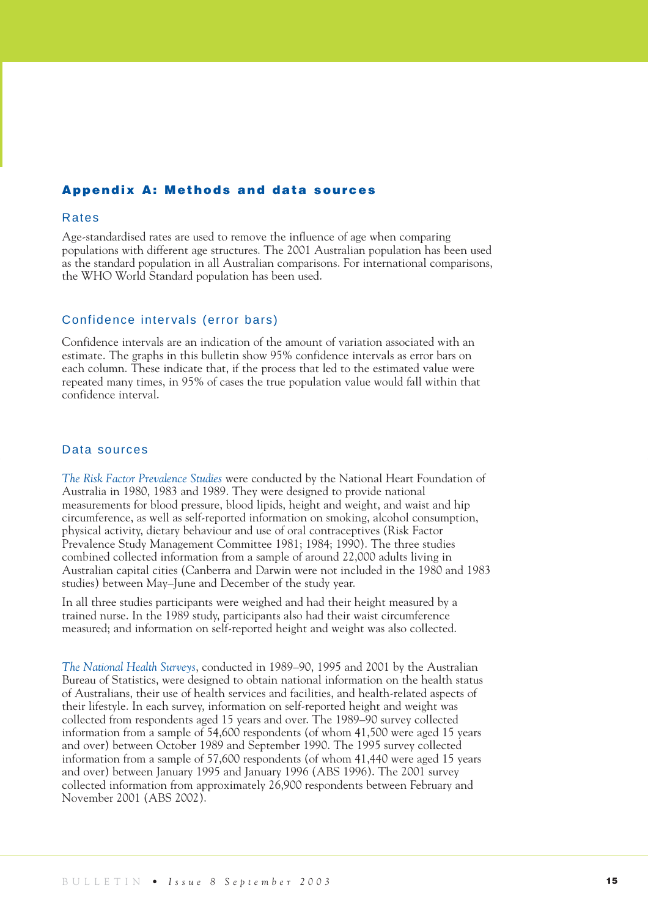## **Appendix A: Methods and data sources**

### Rates

Age-standardised rates are used to remove the influence of age when comparing populations with different age structures. The 2001 Australian population has been used as the standard population in all Australian comparisons. For international comparisons, the WHO World Standard population has been used.

## Confidence intervals (error bars)

Confidence intervals are an indication of the amount of variation associated with an estimate. The graphs in this bulletin show 95% confidence intervals as error bars on each column. These indicate that, if the process that led to the estimated value were repeated many times, in 95% of cases the true population value would fall within that confidence interval.

## Data sources

*The Risk Factor Prevalence Studies* were conducted by the National Heart Foundation of Australia in 1980, 1983 and 1989. They were designed to provide national measurements for blood pressure, blood lipids, height and weight, and waist and hip circumference, as well as self-reported information on smoking, alcohol consumption, physical activity, dietary behaviour and use of oral contraceptives (Risk Factor Prevalence Study Management Committee 1981; 1984; 1990). The three studies combined collected information from a sample of around 22,000 adults living in Australian capital cities (Canberra and Darwin were not included in the 1980 and 1983 studies) between May–June and December of the study year.

In all three studies participants were weighed and had their height measured by a trained nurse. In the 1989 study, participants also had their waist circumference measured; and information on self-reported height and weight was also collected.

*The National Health Surveys*, conducted in 1989–90, 1995 and 2001 by the Australian Bureau of Statistics, were designed to obtain national information on the health status of Australians, their use of health services and facilities, and health-related aspects of their lifestyle. In each survey, information on self-reported height and weight was collected from respondents aged 15 years and over. The 1989–90 survey collected information from a sample of 54,600 respondents (of whom 41,500 were aged 15 years and over) between October 1989 and September 1990. The 1995 survey collected information from a sample of 57,600 respondents (of whom 41,440 were aged 15 years and over) between January 1995 and January 1996 (ABS 1996). The 2001 survey collected information from approximately 26,900 respondents between February and November 2001 (ABS 2002).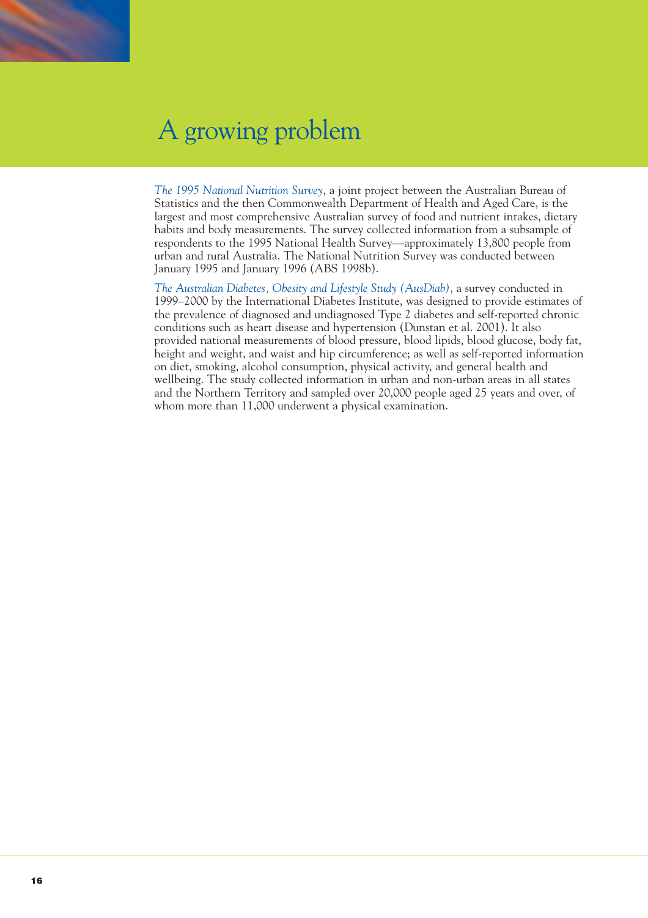

*The 1995 National Nutrition Survey*, a joint project between the Australian Bureau of Statistics and the then Commonwealth Department of Health and Aged Care, is the largest and most comprehensive Australian survey of food and nutrient intakes, dietary habits and body measurements. The survey collected information from a subsample of respondents to the 1995 National Health Survey—approximately 13,800 people from urban and rural Australia. The National Nutrition Survey was conducted between January 1995 and January 1996 (ABS 1998b).

*The Australian Diabetes, Obesity and Lifestyle Study (AusDiab)*, a survey conducted in 1999–2000 by the International Diabetes Institute, was designed to provide estimates of the prevalence of diagnosed and undiagnosed Type 2 diabetes and self-reported chronic conditions such as heart disease and hypertension (Dunstan et al. 2001). It also provided national measurements of blood pressure, blood lipids, blood glucose, body fat, height and weight, and waist and hip circumference; as well as self-reported information on diet, smoking, alcohol consumption, physical activity, and general health and wellbeing. The study collected information in urban and non-urban areas in all states and the Northern Territory and sampled over 20,000 people aged 25 years and over, of whom more than 11,000 underwent a physical examination.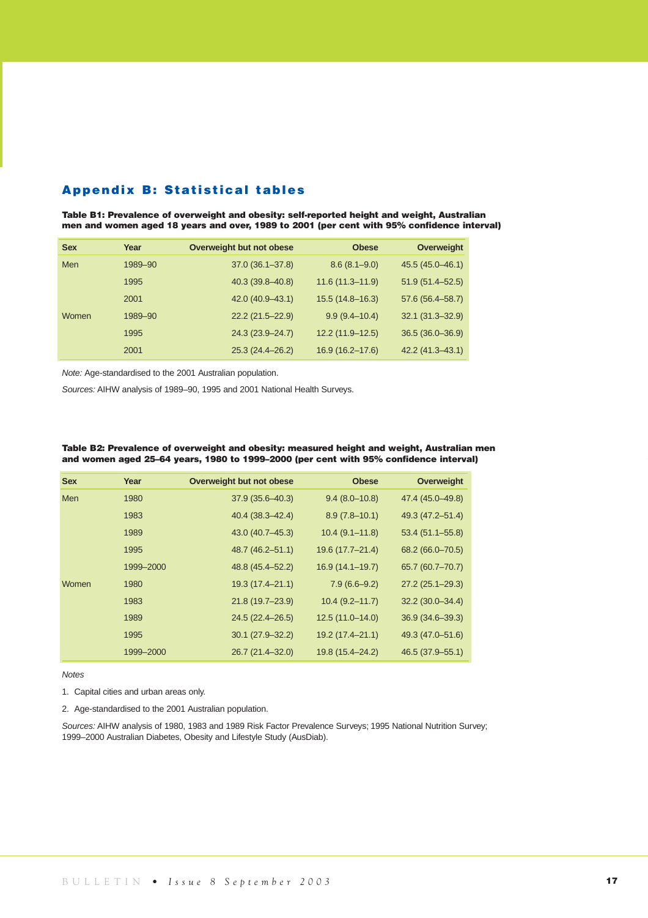## **Appendix B: Statistical tables**

**Table B1: Prevalence of overweight and obesity: self-reported height and weight, Australian men and women aged 18 years and over, 1989 to 2001 (per cent with 95% confidence interval)**

| <b>Sex</b> | Year    | Overweight but not obese | <b>Obese</b>        | Overweight          |
|------------|---------|--------------------------|---------------------|---------------------|
| <b>Men</b> | 1989-90 | $37.0(36.1 - 37.8)$      | $8.6(8.1 - 9.0)$    | 45.5 (45.0–46.1)    |
|            | 1995    | 40.3 (39.8-40.8)         | $11.6(11.3 - 11.9)$ | $51.9(51.4 - 52.5)$ |
|            | 2001    | 42.0 (40.9 - 43.1)       | $15.5(14.8 - 16.3)$ | 57.6 (56.4–58.7)    |
| Women      | 1989-90 | $22.2(21.5 - 22.9)$      | $9.9(9.4 - 10.4)$   | $32.1(31.3 - 32.9)$ |
|            | 1995    | 24.3 (23.9–24.7)         | $12.2(11.9-12.5)$   | $36.5(36.0 - 36.9)$ |
|            | 2001    | 25.3 (24.4–26.2)         | $16.9(16.2 - 17.6)$ | $42.2(41.3 - 43.1)$ |

*Note:* Age-standardised to the 2001 Australian population.

*Sources:* AIHW analysis of 1989–90, 1995 and 2001 National Health Surveys.

|  | Table B2: Prevalence of overweight and obesity: measured height and weight, Australian men |
|--|--------------------------------------------------------------------------------------------|
|  | and women aged 25–64 years, 1980 to 1999–2000 (per cent with 95% confidence interval)      |

| <b>Sex</b> | Year      | Overweight but not obese | <b>Obese</b>       | Overweight          |
|------------|-----------|--------------------------|--------------------|---------------------|
| Men        | 1980      | $37.9(35.6 - 40.3)$      | $9.4(8.0-10.8)$    | 47.4 (45.0-49.8)    |
|            | 1983      | $40.4(38.3 - 42.4)$      | $8.9(7.8 - 10.1)$  | 49.3 (47.2–51.4)    |
|            | 1989      | 43.0 (40.7-45.3)         | $10.4(9.1 - 11.8)$ | $53.4(51.1 - 55.8)$ |
|            | 1995      | 48.7 (46.2-51.1)         | 19.6 (17.7-21.4)   | 68.2 (66.0-70.5)    |
|            | 1999-2000 | 48.8 (45.4–52.2)         | 16.9 (14.1-19.7)   | 65.7 (60.7-70.7)    |
| Women      | 1980      | 19.3 (17.4-21.1)         | $7.9(6.6-9.2)$     | $27.2(25.1 - 29.3)$ |
|            | 1983      | 21.8 (19.7-23.9)         | $10.4(9.2 - 11.7)$ | $32.2(30.0 - 34.4)$ |
|            | 1989      | 24.5 (22.4–26.5)         | $12.5(11.0-14.0)$  | $36.9(34.6 - 39.3)$ |
|            | 1995      | $30.1(27.9 - 32.2)$      | 19.2 (17.4-21.1)   | 49.3 (47.0-51.6)    |
|            | 1999-2000 | 26.7 (21.4-32.0)         | 19.8 (15.4-24.2)   | 46.5 (37.9–55.1)    |

*Notes*

- 1. Capital cities and urban areas only.
- 2. Age-standardised to the 2001 Australian population.

*Sources:* AIHW analysis of 1980, 1983 and 1989 Risk Factor Prevalence Surveys; 1995 National Nutrition Survey; 1999–2000 Australian Diabetes, Obesity and Lifestyle Study (AusDiab).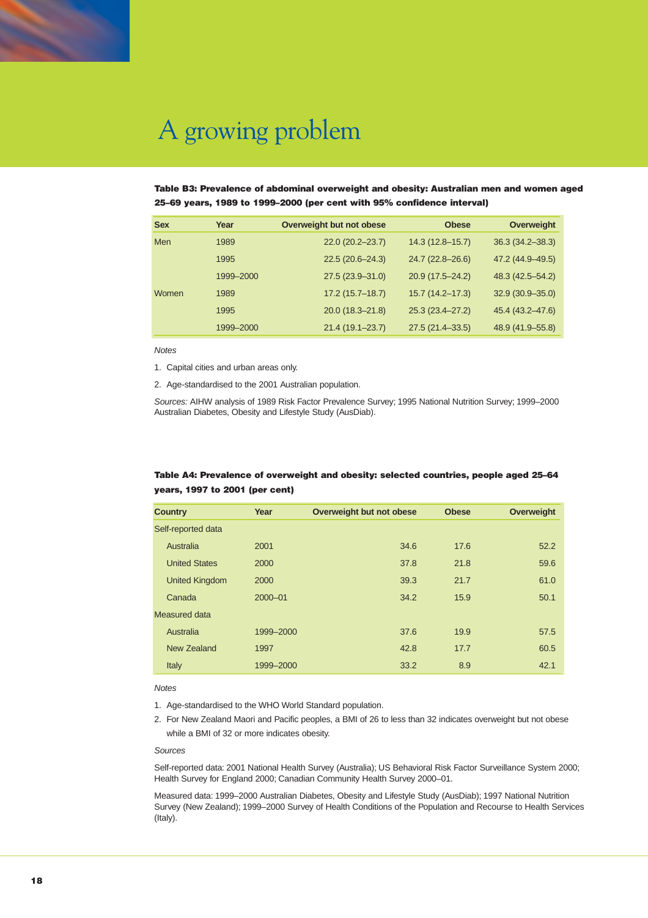

#### **Table B3: Prevalence of abdominal overweight and obesity: Australian men and women aged 25–69 years, 1989 to 1999–2000 (per cent with 95% confidence interval)**

| <b>Sex</b> | Year      | Overweight but not obese | <b>Obese</b>        | Overweight          |
|------------|-----------|--------------------------|---------------------|---------------------|
| <b>Men</b> | 1989      | $22.0(20.2 - 23.7)$      | $14.3(12.8 - 15.7)$ | $36.3(34.2 - 38.3)$ |
|            | 1995      | $22.5(20.6 - 24.3)$      | $24.7(22.8 - 26.6)$ | 47.2 (44.9-49.5)    |
|            | 1999-2000 | $27.5(23.9 - 31.0)$      | 20.9 (17.5-24.2)    | 48.3 (42.5–54.2)    |
| Women      | 1989      | $17.2(15.7 - 18.7)$      | $15.7(14.2 - 17.3)$ | $32.9(30.9 - 35.0)$ |
|            | 1995      | 20.0 (18.3-21.8)         | 25.3 (23.4-27.2)    | 45.4 (43.2–47.6)    |
|            | 1999-2000 | $21.4(19.1 - 23.7)$      | $27.5(21.4 - 33.5)$ | 48.9 (41.9 - 55.8)  |

*Notes*

1. Capital cities and urban areas only.

2. Age-standardised to the 2001 Australian population.

*Sources:* AIHW analysis of 1989 Risk Factor Prevalence Survey; 1995 National Nutrition Survey; 1999–2000 Australian Diabetes, Obesity and Lifestyle Study (AusDiab).

### **Table A4: Prevalence of overweight and obesity: selected countries, people aged 25–64 years, 1997 to 2001 (per cent)**

| <b>Country</b>        | Year        | Overweight but not obese | <b>Obese</b> | <b>Overweight</b> |
|-----------------------|-------------|--------------------------|--------------|-------------------|
| Self-reported data    |             |                          |              |                   |
| Australia             | 2001        | 34.6                     | 17.6         | 52.2              |
| <b>United States</b>  | 2000        | 37.8                     | 21.8         | 59.6              |
| <b>United Kingdom</b> | 2000        | 39.3                     | 21.7         | 61.0              |
| Canada                | $2000 - 01$ | 34.2                     | 15.9         | 50.1              |
| Measured data         |             |                          |              |                   |
| Australia             | 1999-2000   | 37.6                     | 19.9         | 57.5              |
| New Zealand           | 1997        | 42.8                     | 17.7         | 60.5              |
| Italy                 | 1999-2000   | 33.2                     | 8.9          | 42.1              |

#### *Notes*

- 1. Age-standardised to the WHO World Standard population.
- 2. For New Zealand Maori and Pacific peoples, a BMI of 26 to less than 32 indicates overweight but not obese while a BMI of 32 or more indicates obesity.

#### *Sources*

Self-reported data: 2001 National Health Survey (Australia); US Behavioral Risk Factor Surveillance System 2000; Health Survey for England 2000; Canadian Community Health Survey 2000–01.

Measured data: 1999–2000 Australian Diabetes, Obesity and Lifestyle Study (AusDiab); 1997 National Nutrition Survey (New Zealand); 1999–2000 Survey of Health Conditions of the Population and Recourse to Health Services (Italy).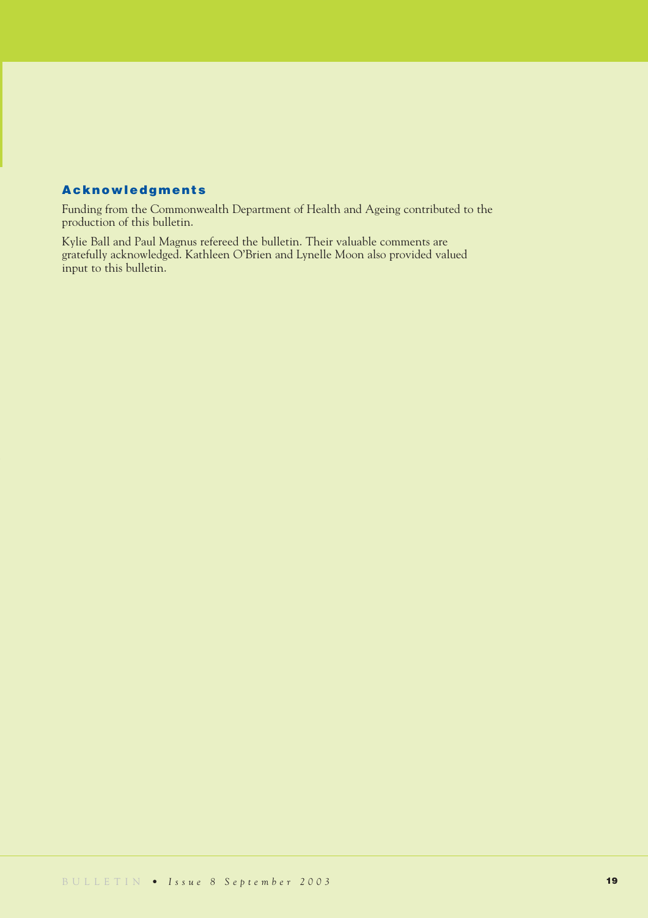# **Acknowledgments**

Funding from the Commonwealth Department of Health and Ageing contributed to the production of this bulletin.

Kylie Ball and Paul Magnus refereed the bulletin. Their valuable comments are gratefully acknowledged. Kathleen O'Brien and Lynelle Moon also provided valued input to this bulletin.